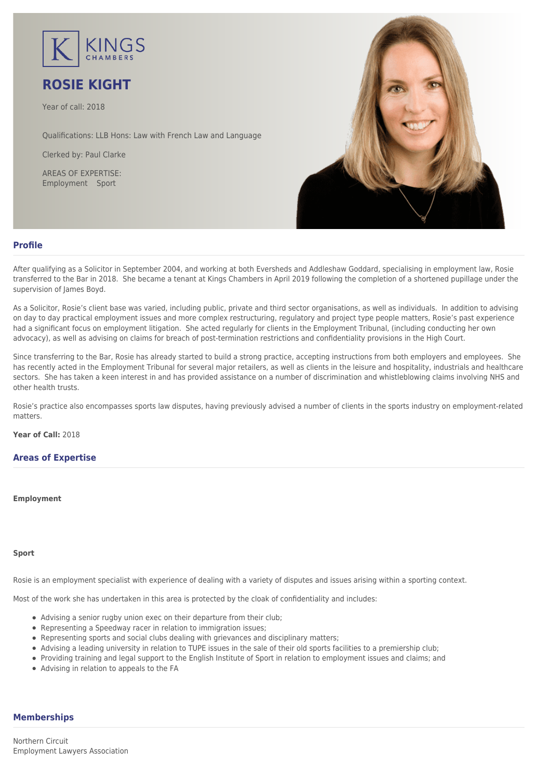

# **ROSIE KIGHT**

Year of call: 2018

Qualifications: LLB Hons: Law with French Law and Language

Clerked by: [Paul Clarke](mailto:pclarke@kingschambers.com)

AREAS OF EXPERTISE: Employment Sport



## **Profile**

After qualifying as a Solicitor in September 2004, and working at both Eversheds and Addleshaw Goddard, specialising in employment law, Rosie transferred to the Bar in 2018. She became a tenant at Kings Chambers in April 2019 following the completion of a shortened pupillage under the supervision of James Boyd.

As a Solicitor, Rosie's client base was varied, including public, private and third sector organisations, as well as individuals. In addition to advising on day to day practical employment issues and more complex restructuring, regulatory and project type people matters, Rosie's past experience had a significant focus on employment litigation. She acted regularly for clients in the Employment Tribunal, (including conducting her own advocacy), as well as advising on claims for breach of post-termination restrictions and confidentiality provisions in the High Court.

Since transferring to the Bar, Rosie has already started to build a strong practice, accepting instructions from both employers and employees. She has recently acted in the Employment Tribunal for several major retailers, as well as clients in the leisure and hospitality, industrials and healthcare sectors. She has taken a keen interest in and has provided assistance on a number of discrimination and whistleblowing claims involving NHS and other health trusts.

Rosie's practice also encompasses sports law disputes, having previously advised a number of clients in the sports industry on employment-related matters.

**Year of Call:** 2018

## **Areas of Expertise**

#### **[Employment](#page--1-0)**

### **[Sport](#page--1-0)**

Rosie is an employment specialist with experience of dealing with a variety of disputes and issues arising within a sporting context.

Most of the work she has undertaken in this area is protected by the cloak of confidentiality and includes:

- Advising a senior rugby union exec on their departure from their club;
- Representing a Speedway racer in relation to immigration issues;
- Representing sports and social clubs dealing with grievances and disciplinary matters;
- Advising a leading university in relation to TUPE issues in the sale of their old sports facilities to a premiership club;
- Providing training and legal support to the English Institute of Sport in relation to employment issues and claims; and
- Advising in relation to appeals to the FA

## **Memberships**